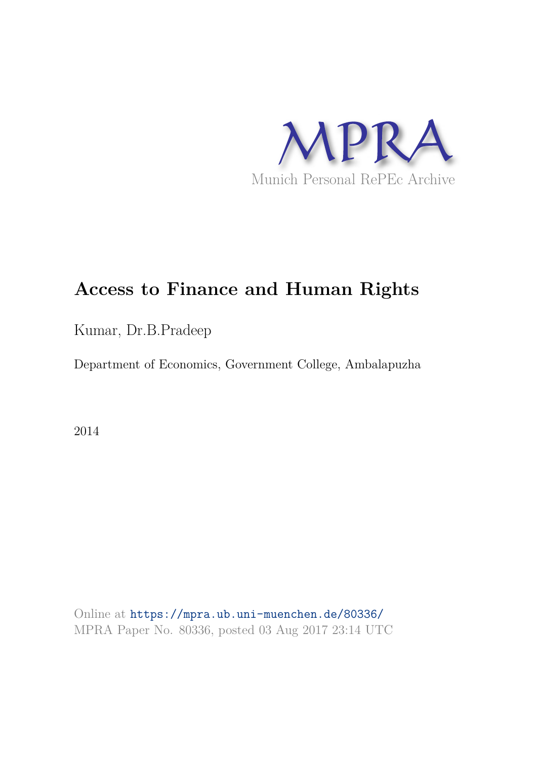

# **Access to Finance and Human Rights**

Kumar, Dr.B.Pradeep

Department of Economics, Government College, Ambalapuzha

2014

Online at https://mpra.ub.uni-muenchen.de/80336/ MPRA Paper No. 80336, posted 03 Aug 2017 23:14 UTC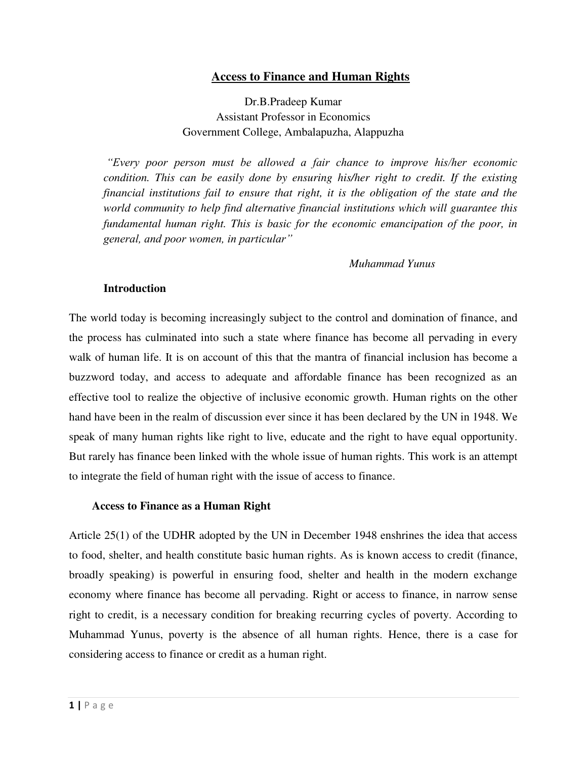# **Access to Finance and Human Rights**

Dr.B.Pradeep Kumar Assistant Professor in Economics Government College, Ambalapuzha, Alappuzha

*"Every poor person must be allowed a fair chance to improve his/her economic condition. This can be easily done by ensuring his/her right to credit. If the existing financial institutions fail to ensure that right, it is the obligation of the state and the world community to help find alternative financial institutions which will guarantee this fundamental human right. This is basic for the economic emancipation of the poor, in general, and poor women, in particular"*

### *Muhammad Yunus*

#### **Introduction**

The world today is becoming increasingly subject to the control and domination of finance, and the process has culminated into such a state where finance has become all pervading in every walk of human life. It is on account of this that the mantra of financial inclusion has become a buzzword today, and access to adequate and affordable finance has been recognized as an effective tool to realize the objective of inclusive economic growth. Human rights on the other hand have been in the realm of discussion ever since it has been declared by the UN in 1948. We speak of many human rights like right to live, educate and the right to have equal opportunity. But rarely has finance been linked with the whole issue of human rights. This work is an attempt to integrate the field of human right with the issue of access to finance.

## **Access to Finance as a Human Right**

Article 25(1) of the UDHR adopted by the UN in December 1948 enshrines the idea that access to food, shelter, and health constitute basic human rights. As is known access to credit (finance, broadly speaking) is powerful in ensuring food, shelter and health in the modern exchange economy where finance has become all pervading. Right or access to finance, in narrow sense right to credit, is a necessary condition for breaking recurring cycles of poverty. According to Muhammad Yunus, poverty is the absence of all human rights. Hence, there is a case for considering access to finance or credit as a human right.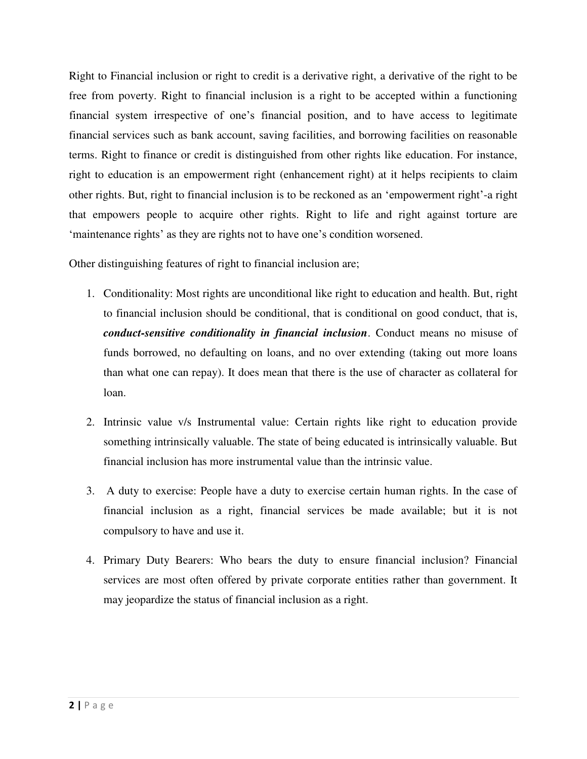Right to Financial inclusion or right to credit is a derivative right, a derivative of the right to be free from poverty. Right to financial inclusion is a right to be accepted within a functioning financial system irrespective of one's financial position, and to have access to legitimate financial services such as bank account, saving facilities, and borrowing facilities on reasonable terms. Right to finance or credit is distinguished from other rights like education. For instance, right to education is an empowerment right (enhancement right) at it helps recipients to claim other rights. But, right to financial inclusion is to be reckoned as an 'empowerment right'-a right that empowers people to acquire other rights. Right to life and right against torture are 'maintenance rights' as they are rights not to have one's condition worsened.

Other distinguishing features of right to financial inclusion are;

- 1. Conditionality: Most rights are unconditional like right to education and health. But, right to financial inclusion should be conditional, that is conditional on good conduct, that is, *conduct-sensitive conditionality in financial inclusion*. Conduct means no misuse of funds borrowed, no defaulting on loans, and no over extending (taking out more loans than what one can repay). It does mean that there is the use of character as collateral for loan.
- 2. Intrinsic value v/s Instrumental value: Certain rights like right to education provide something intrinsically valuable. The state of being educated is intrinsically valuable. But financial inclusion has more instrumental value than the intrinsic value.
- 3. A duty to exercise: People have a duty to exercise certain human rights. In the case of financial inclusion as a right, financial services be made available; but it is not compulsory to have and use it.
- 4. Primary Duty Bearers: Who bears the duty to ensure financial inclusion? Financial services are most often offered by private corporate entities rather than government. It may jeopardize the status of financial inclusion as a right.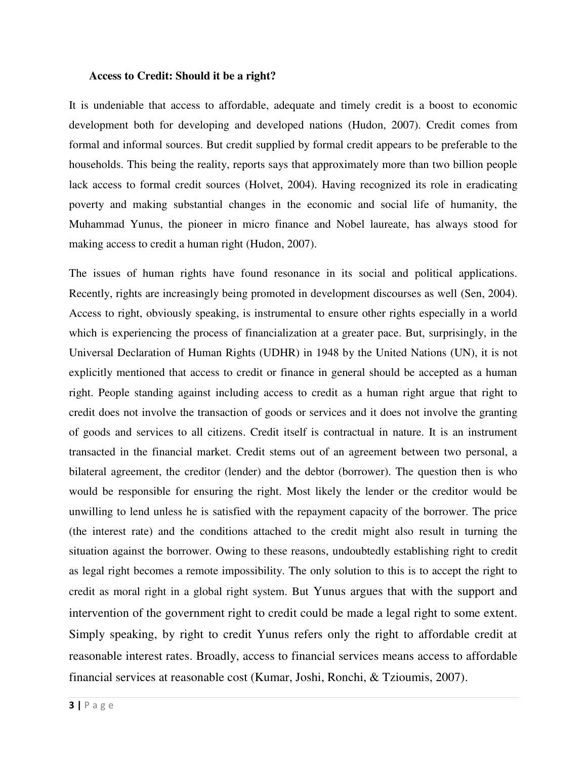#### **Access to Credit: Should it be a right?**

It is undeniable that access to affordable, adequate and timely credit is a boost to economic development both for developing and developed nations (Hudon, 2007). Credit comes from formal and informal sources. But credit supplied by formal credit appears to be preferable to the households. This being the reality, reports says that approximately more than two billion people lack access to formal credit sources (Holvet, 2004). Having recognized its role in eradicating poverty and making substantial changes in the economic and social life of humanity, the Muhammad Yunus, the pioneer in micro finance and Nobel laureate, has always stood for making access to credit a human right (Hudon, 2007).

The issues of human rights have found resonance in its social and political applications. Recently, rights are increasingly being promoted in development discourses as well (Sen, 2004). Access to right, obviously speaking, is instrumental to ensure other rights especially in a world which is experiencing the process of financialization at a greater pace. But, surprisingly, in the Universal Declaration of Human Rights (UDHR) in 1948 by the United Nations (UN), it is not explicitly mentioned that access to credit or finance in general should be accepted as a human right. People standing against including access to credit as a human right argue that right to credit does not involve the transaction of goods or services and it does not involve the granting of goods and services to all citizens. Credit itself is contractual in nature. It is an instrument transacted in the financial market. Credit stems out of an agreement between two personal, a bilateral agreement, the creditor (lender) and the debtor (borrower). The question then is who would be responsible for ensuring the right. Most likely the lender or the creditor would be unwilling to lend unless he is satisfied with the repayment capacity of the borrower. The price (the interest rate) and the conditions attached to the credit might also result in turning the situation against the borrower. Owing to these reasons, undoubtedly establishing right to credit as legal right becomes a remote impossibility. The only solution to this is to accept the right to credit as moral right in a global right system. But Yunus argues that with the support and intervention of the government right to credit could be made a legal right to some extent. Simply speaking, by right to credit Yunus refers only the right to affordable credit at reasonable interest rates. Broadly, access to financial services means access to affordable financial services at reasonable cost (Kumar, Joshi, Ronchi, & Tzioumis, 2007).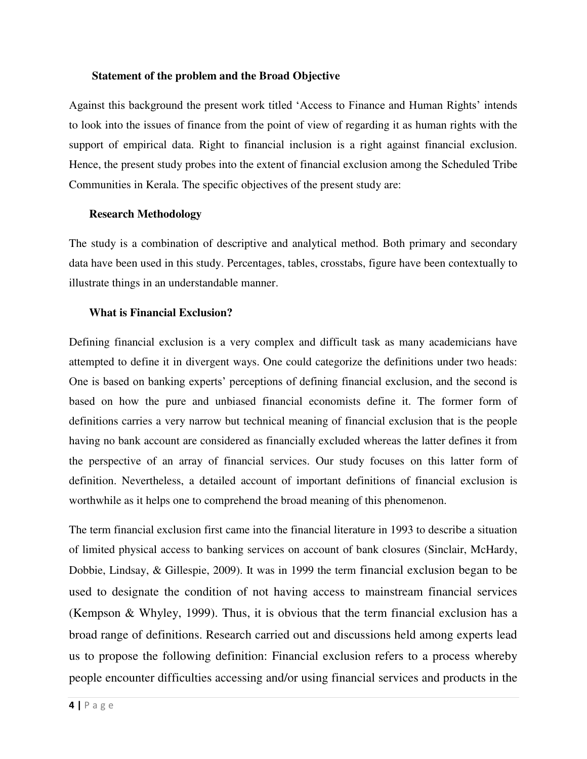## **Statement of the problem and the Broad Objective**

Against this background the present work titled 'Access to Finance and Human Rights' intends to look into the issues of finance from the point of view of regarding it as human rights with the support of empirical data. Right to financial inclusion is a right against financial exclusion. Hence, the present study probes into the extent of financial exclusion among the Scheduled Tribe Communities in Kerala. The specific objectives of the present study are:

## **Research Methodology**

The study is a combination of descriptive and analytical method. Both primary and secondary data have been used in this study. Percentages, tables, crosstabs, figure have been contextually to illustrate things in an understandable manner.

## **What is Financial Exclusion?**

Defining financial exclusion is a very complex and difficult task as many academicians have attempted to define it in divergent ways. One could categorize the definitions under two heads: One is based on banking experts' perceptions of defining financial exclusion, and the second is based on how the pure and unbiased financial economists define it. The former form of definitions carries a very narrow but technical meaning of financial exclusion that is the people having no bank account are considered as financially excluded whereas the latter defines it from the perspective of an array of financial services. Our study focuses on this latter form of definition. Nevertheless, a detailed account of important definitions of financial exclusion is worthwhile as it helps one to comprehend the broad meaning of this phenomenon.

The term financial exclusion first came into the financial literature in 1993 to describe a situation of limited physical access to banking services on account of bank closures (Sinclair, McHardy, Dobbie, Lindsay, & Gillespie, 2009). It was in 1999 the term financial exclusion began to be used to designate the condition of not having access to mainstream financial services (Kempson & Whyley, 1999). Thus, it is obvious that the term financial exclusion has a broad range of definitions. Research carried out and discussions held among experts lead us to propose the following definition: Financial exclusion refers to a process whereby people encounter difficulties accessing and/or using financial services and products in the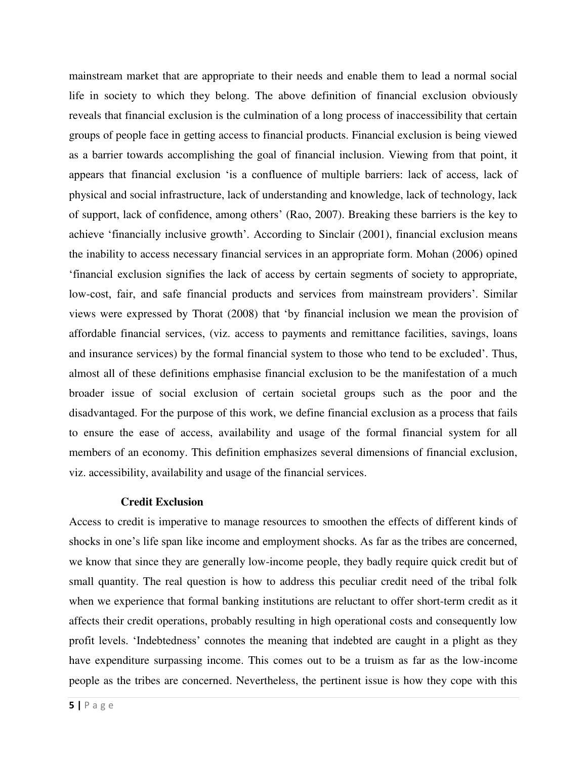mainstream market that are appropriate to their needs and enable them to lead a normal social life in society to which they belong. The above definition of financial exclusion obviously reveals that financial exclusion is the culmination of a long process of inaccessibility that certain groups of people face in getting access to financial products. Financial exclusion is being viewed as a barrier towards accomplishing the goal of financial inclusion. Viewing from that point, it appears that financial exclusion 'is a confluence of multiple barriers: lack of access, lack of physical and social infrastructure, lack of understanding and knowledge, lack of technology, lack of support, lack of confidence, among others' (Rao, 2007). Breaking these barriers is the key to achieve 'financially inclusive growth'. According to Sinclair (2001), financial exclusion means the inability to access necessary financial services in an appropriate form. Mohan (2006) opined 'financial exclusion signifies the lack of access by certain segments of society to appropriate, low-cost, fair, and safe financial products and services from mainstream providers'. Similar views were expressed by Thorat (2008) that 'by financial inclusion we mean the provision of affordable financial services, (viz. access to payments and remittance facilities, savings, loans and insurance services) by the formal financial system to those who tend to be excluded'. Thus, almost all of these definitions emphasise financial exclusion to be the manifestation of a much broader issue of social exclusion of certain societal groups such as the poor and the disadvantaged. For the purpose of this work, we define financial exclusion as a process that fails to ensure the ease of access, availability and usage of the formal financial system for all members of an economy. This definition emphasizes several dimensions of financial exclusion, viz. accessibility, availability and usage of the financial services.

## **Credit Exclusion**

Access to credit is imperative to manage resources to smoothen the effects of different kinds of shocks in one's life span like income and employment shocks. As far as the tribes are concerned, we know that since they are generally low-income people, they badly require quick credit but of small quantity. The real question is how to address this peculiar credit need of the tribal folk when we experience that formal banking institutions are reluctant to offer short-term credit as it affects their credit operations, probably resulting in high operational costs and consequently low profit levels. 'Indebtedness' connotes the meaning that indebted are caught in a plight as they have expenditure surpassing income. This comes out to be a truism as far as the low-income people as the tribes are concerned. Nevertheless, the pertinent issue is how they cope with this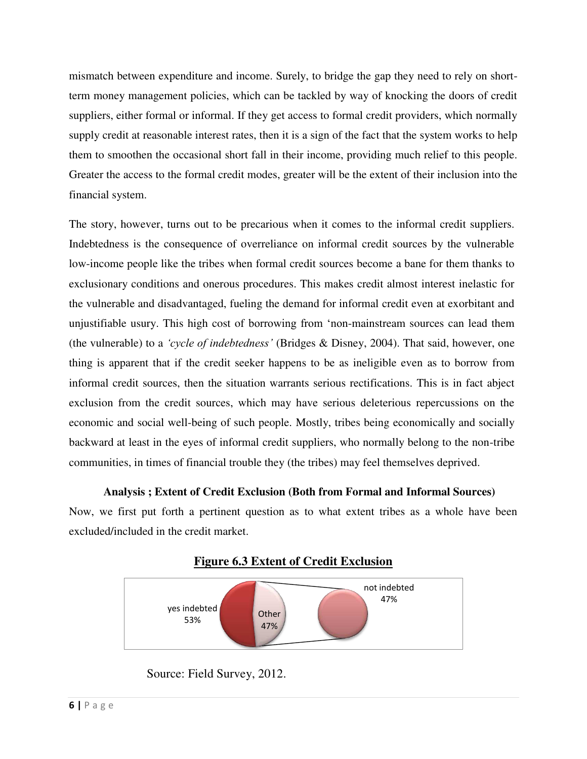mismatch between expenditure and income. Surely, to bridge the gap they need to rely on shortterm money management policies, which can be tackled by way of knocking the doors of credit suppliers, either formal or informal. If they get access to formal credit providers, which normally supply credit at reasonable interest rates, then it is a sign of the fact that the system works to help them to smoothen the occasional short fall in their income, providing much relief to this people. Greater the access to the formal credit modes, greater will be the extent of their inclusion into the financial system.

The story, however, turns out to be precarious when it comes to the informal credit suppliers. Indebtedness is the consequence of overreliance on informal credit sources by the vulnerable low-income people like the tribes when formal credit sources become a bane for them thanks to exclusionary conditions and onerous procedures. This makes credit almost interest inelastic for the vulnerable and disadvantaged, fueling the demand for informal credit even at exorbitant and unjustifiable usury. This high cost of borrowing from 'non-mainstream sources can lead them (the vulnerable) to a *'cycle of indebtedness'* (Bridges & Disney, 2004). That said, however, one thing is apparent that if the credit seeker happens to be as ineligible even as to borrow from informal credit sources, then the situation warrants serious rectifications. This is in fact abject exclusion from the credit sources, which may have serious deleterious repercussions on the economic and social well-being of such people. Mostly, tribes being economically and socially backward at least in the eyes of informal credit suppliers, who normally belong to the non-tribe communities, in times of financial trouble they (the tribes) may feel themselves deprived.

# **Analysis ; Extent of Credit Exclusion (Both from Formal and Informal Sources)**

Now, we first put forth a pertinent question as to what extent tribes as a whole have been excluded/included in the credit market.



# **Figure 6.3 Extent of Credit Exclusion**

Source: Field Survey, 2012.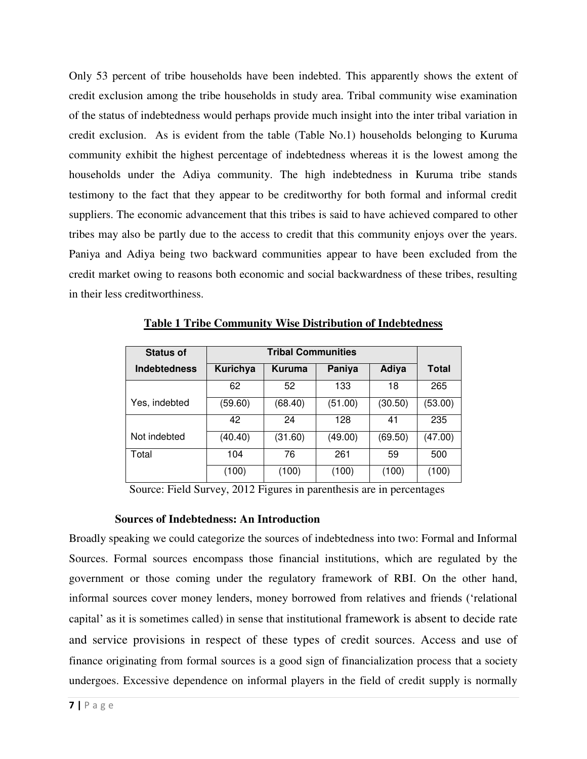Only 53 percent of tribe households have been indebted. This apparently shows the extent of credit exclusion among the tribe households in study area. Tribal community wise examination of the status of indebtedness would perhaps provide much insight into the inter tribal variation in credit exclusion. As is evident from the table (Table No.1) households belonging to Kuruma community exhibit the highest percentage of indebtedness whereas it is the lowest among the households under the Adiya community. The high indebtedness in Kuruma tribe stands testimony to the fact that they appear to be creditworthy for both formal and informal credit suppliers. The economic advancement that this tribes is said to have achieved compared to other tribes may also be partly due to the access to credit that this community enjoys over the years. Paniya and Adiya being two backward communities appear to have been excluded from the credit market owing to reasons both economic and social backwardness of these tribes, resulting in their less creditworthiness.

| <b>Status of</b>    |          |               |         |         |         |
|---------------------|----------|---------------|---------|---------|---------|
| <b>Indebtedness</b> | Kurichya | <b>Kuruma</b> | Paniya  | Adiya   | Total   |
|                     | 62       | 52            | 133     | 18      | 265     |
| Yes, indebted       | (59.60)  | (68.40)       | (51.00) | (30.50) | (53.00) |
|                     | 42       | 24            | 128     | 41      | 235     |
| Not indebted        | (40.40)  | (31.60)       | (49.00) | (69.50) | (47.00) |
| Total               | 104      | 76            | 261     | 59      | 500     |
|                     | (100)    | (100)         | (100)   | (100)   | (100)   |

**Table 1 Tribe Community Wise Distribution of Indebtedness**

Source: Field Survey, 2012 Figures in parenthesis are in percentages

## **Sources of Indebtedness: An Introduction**

Broadly speaking we could categorize the sources of indebtedness into two: Formal and Informal Sources. Formal sources encompass those financial institutions, which are regulated by the government or those coming under the regulatory framework of RBI. On the other hand, informal sources cover money lenders, money borrowed from relatives and friends ('relational capital' as it is sometimes called) in sense that institutional framework is absent to decide rate and service provisions in respect of these types of credit sources. Access and use of finance originating from formal sources is a good sign of financialization process that a society undergoes. Excessive dependence on informal players in the field of credit supply is normally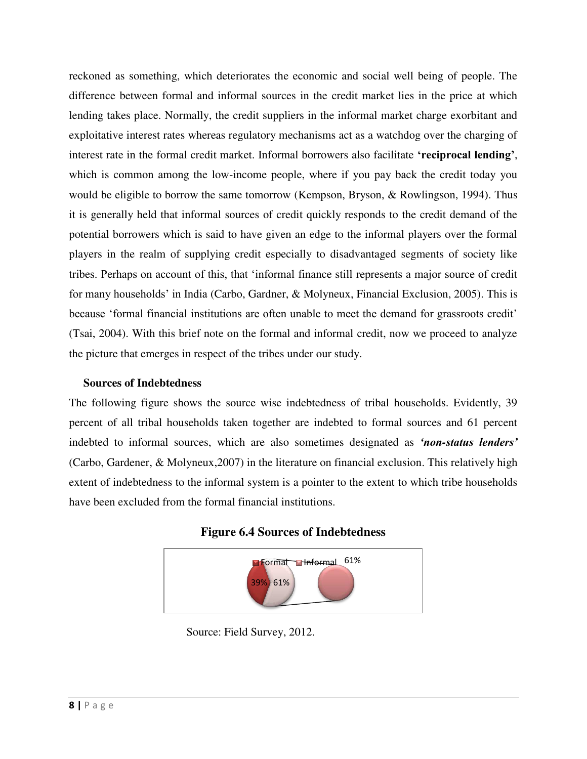reckoned as something, which deteriorates the economic and social well being of people. The difference between formal and informal sources in the credit market lies in the price at which lending takes place. Normally, the credit suppliers in the informal market charge exorbitant and exploitative interest rates whereas regulatory mechanisms act as a watchdog over the charging of interest rate in the formal credit market. Informal borrowers also facilitate **'reciprocal lending'**, which is common among the low-income people, where if you pay back the credit today you would be eligible to borrow the same tomorrow (Kempson, Bryson, & Rowlingson, 1994). Thus it is generally held that informal sources of credit quickly responds to the credit demand of the potential borrowers which is said to have given an edge to the informal players over the formal players in the realm of supplying credit especially to disadvantaged segments of society like tribes. Perhaps on account of this, that 'informal finance still represents a major source of credit for many households' in India (Carbo, Gardner, & Molyneux, Financial Exclusion, 2005). This is because 'formal financial institutions are often unable to meet the demand for grassroots credit' (Tsai, 2004). With this brief note on the formal and informal credit, now we proceed to analyze the picture that emerges in respect of the tribes under our study.

## **Sources of Indebtedness**

The following figure shows the source wise indebtedness of tribal households. Evidently, 39 percent of all tribal households taken together are indebted to formal sources and 61 percent indebted to informal sources, which are also sometimes designated as *'non-status lenders'* (Carbo, Gardener, & Molyneux,2007) in the literature on financial exclusion. This relatively high extent of indebtedness to the informal system is a pointer to the extent to which tribe households have been excluded from the formal financial institutions.



## **Figure 6.4 Sources of Indebtedness**

Source: Field Survey, 2012.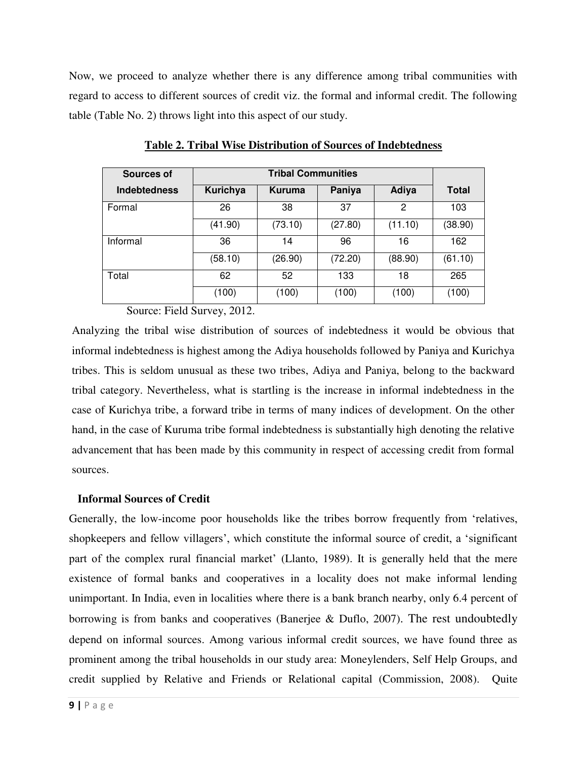Now, we proceed to analyze whether there is any difference among tribal communities with regard to access to different sources of credit viz. the formal and informal credit. The following table (Table No. 2) throws light into this aspect of our study.

| Sources of          |          |               |         |         |              |
|---------------------|----------|---------------|---------|---------|--------------|
| <b>Indebtedness</b> | Kurichya | <b>Kuruma</b> | Paniya  | Adiya   | <b>Total</b> |
| Formal              | 26       | 38            | 37      | 2       | 103          |
|                     | (41.90)  | (73.10)       | (27.80) | (11.10) | (38.90)      |
| Informal            | 36       | 14            | 96      | 16      | 162          |
|                     | (58.10)  | (26.90)       | (72.20) | (88.90) | (61.10)      |
| Total               | 62       | 52            | 133     | 18      | 265          |
|                     | (100)    | (100)         | (100)   | (100)   | (100)        |

**Table 2. Tribal Wise Distribution of Sources of Indebtedness**

Source: Field Survey, 2012.

Analyzing the tribal wise distribution of sources of indebtedness it would be obvious that informal indebtedness is highest among the Adiya households followed by Paniya and Kurichya tribes. This is seldom unusual as these two tribes, Adiya and Paniya, belong to the backward tribal category. Nevertheless, what is startling is the increase in informal indebtedness in the case of Kurichya tribe, a forward tribe in terms of many indices of development. On the other hand, in the case of Kuruma tribe formal indebtedness is substantially high denoting the relative advancement that has been made by this community in respect of accessing credit from formal sources.

## **Informal Sources of Credit**

Generally, the low-income poor households like the tribes borrow frequently from 'relatives, shopkeepers and fellow villagers', which constitute the informal source of credit, a 'significant part of the complex rural financial market' (Llanto, 1989). It is generally held that the mere existence of formal banks and cooperatives in a locality does not make informal lending unimportant. In India, even in localities where there is a bank branch nearby, only 6.4 percent of borrowing is from banks and cooperatives (Banerjee & Duflo, 2007). The rest undoubtedly depend on informal sources. Among various informal credit sources, we have found three as prominent among the tribal households in our study area: Moneylenders, Self Help Groups, and credit supplied by Relative and Friends or Relational capital (Commission, 2008). Quite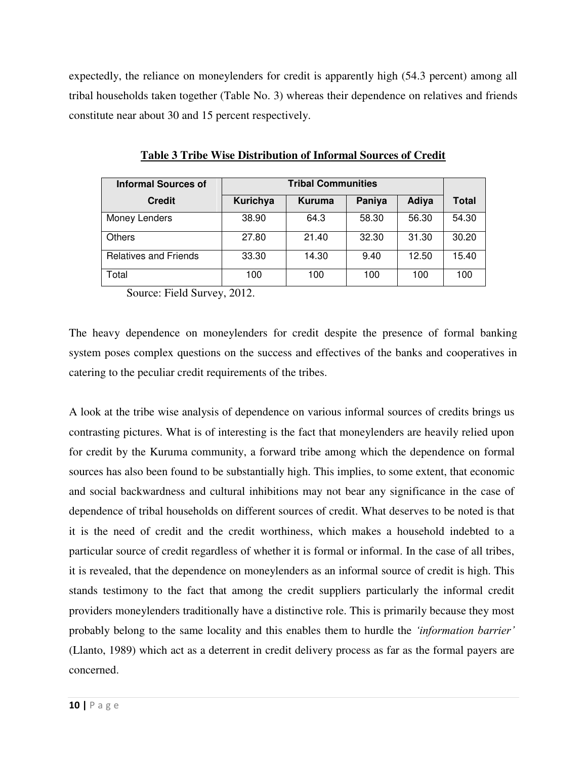expectedly, the reliance on moneylenders for credit is apparently high (54.3 percent) among all tribal households taken together (Table No. 3) whereas their dependence on relatives and friends constitute near about 30 and 15 percent respectively.

| <b>Informal Sources of</b>   | <b>Tribal Communities</b> |        |        |       |              |  |
|------------------------------|---------------------------|--------|--------|-------|--------------|--|
| <b>Credit</b>                | Kurichya                  | Kuruma | Paniya | Adiya | <b>Total</b> |  |
| Money Lenders                | 38.90                     | 64.3   | 58.30  | 56.30 | 54.30        |  |
| <b>Others</b>                | 27.80                     | 21.40  | 32.30  | 31.30 | 30.20        |  |
| <b>Relatives and Friends</b> | 33.30                     | 14.30  | 9.40   | 12.50 | 15.40        |  |
| Total                        | 100                       | 100    | 100    | 100   | 100          |  |

**Table 3 Tribe Wise Distribution of Informal Sources of Credit**

Source: Field Survey, 2012.

The heavy dependence on moneylenders for credit despite the presence of formal banking system poses complex questions on the success and effectives of the banks and cooperatives in catering to the peculiar credit requirements of the tribes.

A look at the tribe wise analysis of dependence on various informal sources of credits brings us contrasting pictures. What is of interesting is the fact that moneylenders are heavily relied upon for credit by the Kuruma community, a forward tribe among which the dependence on formal sources has also been found to be substantially high. This implies, to some extent, that economic and social backwardness and cultural inhibitions may not bear any significance in the case of dependence of tribal households on different sources of credit. What deserves to be noted is that it is the need of credit and the credit worthiness, which makes a household indebted to a particular source of credit regardless of whether it is formal or informal. In the case of all tribes, it is revealed, that the dependence on moneylenders as an informal source of credit is high. This stands testimony to the fact that among the credit suppliers particularly the informal credit providers moneylenders traditionally have a distinctive role. This is primarily because they most probably belong to the same locality and this enables them to hurdle the *'information barrier'* (Llanto, 1989) which act as a deterrent in credit delivery process as far as the formal payers are concerned.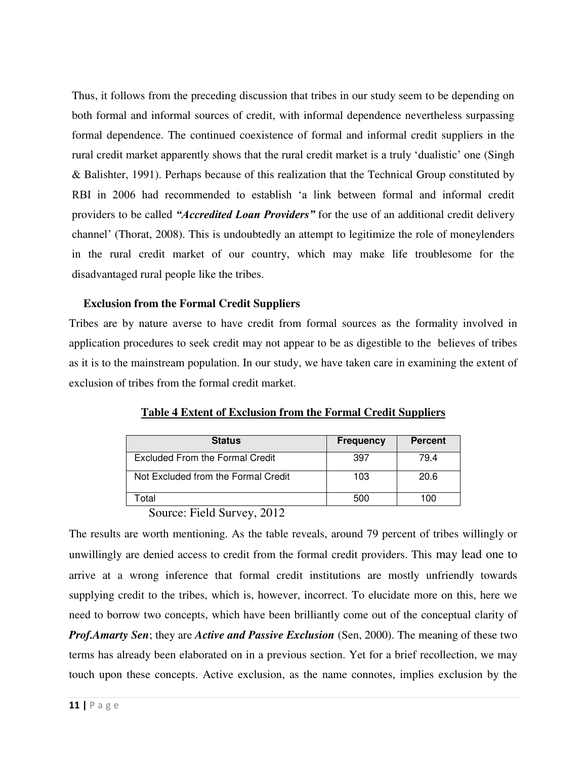Thus, it follows from the preceding discussion that tribes in our study seem to be depending on both formal and informal sources of credit, with informal dependence nevertheless surpassing formal dependence. The continued coexistence of formal and informal credit suppliers in the rural credit market apparently shows that the rural credit market is a truly 'dualistic' one (Singh & Balishter, 1991). Perhaps because of this realization that the Technical Group constituted by RBI in 2006 had recommended to establish 'a link between formal and informal credit providers to be called *"Accredited Loan Providers"* for the use of an additional credit delivery channel' (Thorat, 2008). This is undoubtedly an attempt to legitimize the role of moneylenders in the rural credit market of our country, which may make life troublesome for the disadvantaged rural people like the tribes.

## **Exclusion from the Formal Credit Suppliers**

Tribes are by nature averse to have credit from formal sources as the formality involved in application procedures to seek credit may not appear to be as digestible to the believes of tribes as it is to the mainstream population. In our study, we have taken care in examining the extent of exclusion of tribes from the formal credit market.

| <b>Status</b>                       | <b>Frequency</b> | <b>Percent</b> |
|-------------------------------------|------------------|----------------|
| Excluded From the Formal Credit     | 397              | 79.4           |
| Not Excluded from the Formal Credit | 103              | 20.6           |
| `otal                               | 500              | 100            |

**Table 4 Extent of Exclusion from the Formal Credit Suppliers**

# Source: Field Survey, 2012

The results are worth mentioning. As the table reveals, around 79 percent of tribes willingly or unwillingly are denied access to credit from the formal credit providers. This may lead one to arrive at a wrong inference that formal credit institutions are mostly unfriendly towards supplying credit to the tribes, which is, however, incorrect. To elucidate more on this, here we need to borrow two concepts, which have been brilliantly come out of the conceptual clarity of *Prof.Amarty Sen*; they are *Active and Passive Exclusion* (Sen, 2000). The meaning of these two terms has already been elaborated on in a previous section. Yet for a brief recollection, we may touch upon these concepts. Active exclusion, as the name connotes, implies exclusion by the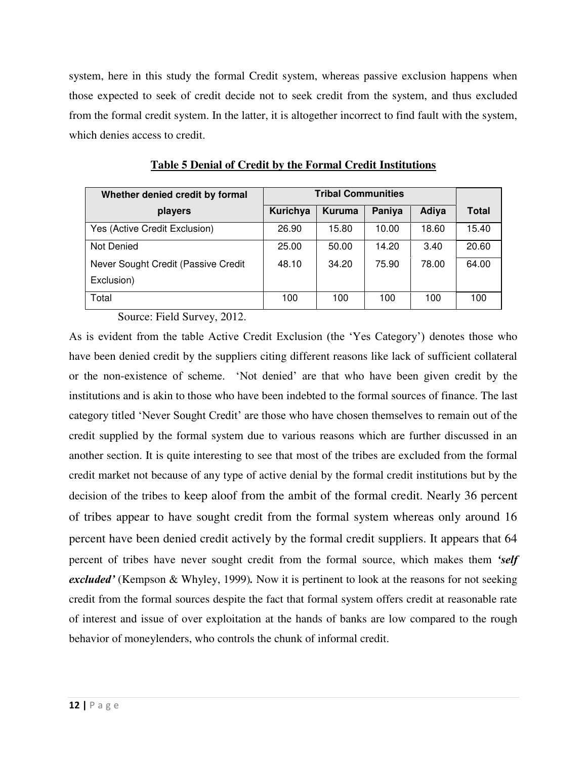system, here in this study the formal Credit system, whereas passive exclusion happens when those expected to seek of credit decide not to seek credit from the system, and thus excluded from the formal credit system. In the latter, it is altogether incorrect to find fault with the system, which denies access to credit.

| Whether denied credit by formal     | <b>Tribal Communities</b> |               |        |       |              |
|-------------------------------------|---------------------------|---------------|--------|-------|--------------|
| players                             | Kurichya                  | <b>Kuruma</b> | Paniya | Adiya | <b>Total</b> |
| Yes (Active Credit Exclusion)       | 26.90                     | 15.80         | 10.00  | 18.60 | 15.40        |
| Not Denied                          | 25.00                     | 50.00         | 14.20  | 3.40  | 20.60        |
| Never Sought Credit (Passive Credit | 48.10                     | 34.20         | 75.90  | 78.00 | 64.00        |
| Exclusion)                          |                           |               |        |       |              |
| Total                               | 100                       | 100           | 100    | 100   | 100          |

**Table 5 Denial of Credit by the Formal Credit Institutions**

Source: Field Survey, 2012.

As is evident from the table Active Credit Exclusion (the 'Yes Category') denotes those who have been denied credit by the suppliers citing different reasons like lack of sufficient collateral or the non-existence of scheme. 'Not denied' are that who have been given credit by the institutions and is akin to those who have been indebted to the formal sources of finance. The last category titled 'Never Sought Credit' are those who have chosen themselves to remain out of the credit supplied by the formal system due to various reasons which are further discussed in an another section. It is quite interesting to see that most of the tribes are excluded from the formal credit market not because of any type of active denial by the formal credit institutions but by the decision of the tribes to keep aloof from the ambit of the formal credit. Nearly 36 percent of tribes appear to have sought credit from the formal system whereas only around 16 percent have been denied credit actively by the formal credit suppliers. It appears that 64 percent of tribes have never sought credit from the formal source, which makes them *'self excluded'* (Kempson & Whyley, 1999)*.* Now it is pertinent to look at the reasons for not seeking credit from the formal sources despite the fact that formal system offers credit at reasonable rate of interest and issue of over exploitation at the hands of banks are low compared to the rough behavior of moneylenders, who controls the chunk of informal credit.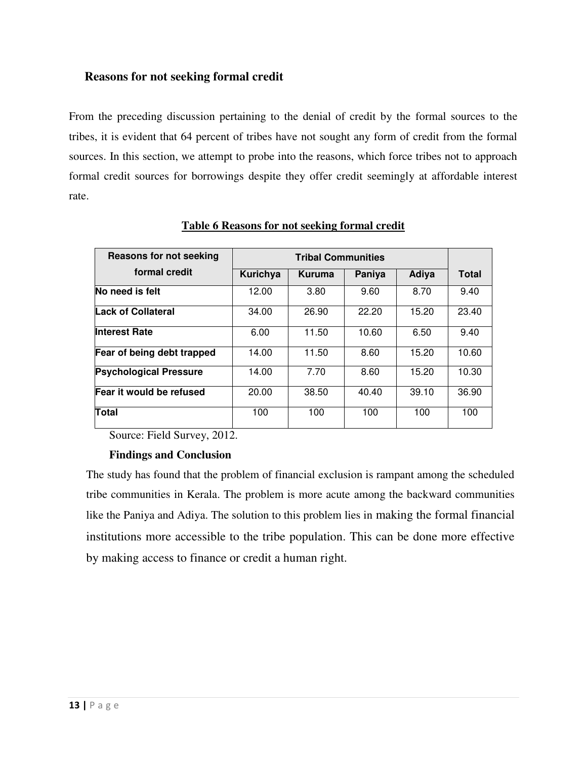# **Reasons for not seeking formal credit**

From the preceding discussion pertaining to the denial of credit by the formal sources to the tribes, it is evident that 64 percent of tribes have not sought any form of credit from the formal sources. In this section, we attempt to probe into the reasons, which force tribes not to approach formal credit sources for borrowings despite they offer credit seemingly at affordable interest rate.

| <b>Reasons for not seeking</b> |          |        |        |              |       |
|--------------------------------|----------|--------|--------|--------------|-------|
| formal credit                  | Kurichya | Kuruma | Paniya | <b>Adiya</b> | Total |
| No need is felt                | 12.00    | 3.80   | 9.60   | 8.70         | 9.40  |
| <b>Lack of Collateral</b>      | 34.00    | 26.90  | 22.20  | 15.20        | 23.40 |
| <b>Interest Rate</b>           | 6.00     | 11.50  | 10.60  | 6.50         | 9.40  |
| Fear of being debt trapped     | 14.00    | 11.50  | 8.60   | 15.20        | 10.60 |
| <b>Psychological Pressure</b>  | 14.00    | 7.70   | 8.60   | 15.20        | 10.30 |
| Fear it would be refused       | 20.00    | 38.50  | 40.40  | 39.10        | 36.90 |
| Total                          | 100      | 100    | 100    | 100          | 100   |

**Table 6 Reasons for not seeking formal credit**

Source: Field Survey, 2012.

# **Findings and Conclusion**

The study has found that the problem of financial exclusion is rampant among the scheduled tribe communities in Kerala. The problem is more acute among the backward communities like the Paniya and Adiya. The solution to this problem lies in making the formal financial institutions more accessible to the tribe population. This can be done more effective by making access to finance or credit a human right.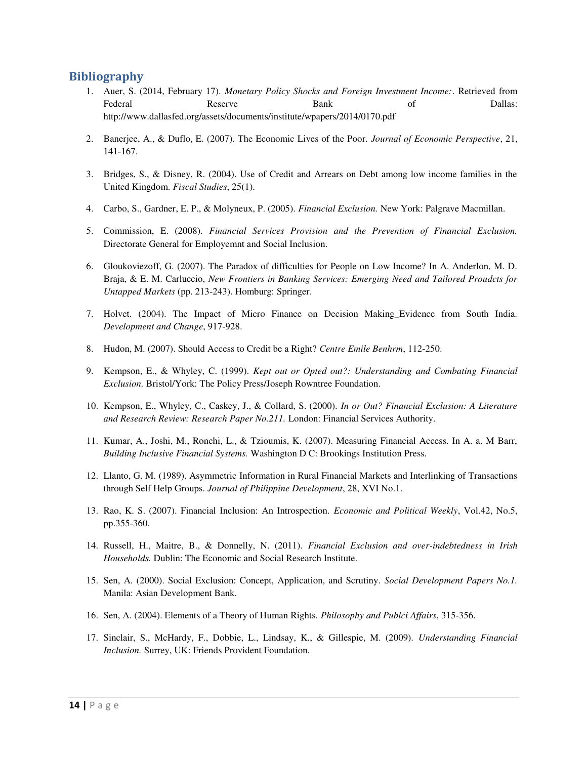## **Bibliography**

- 1. Auer, S. (2014, February 17). *Monetary Policy Shocks and Foreign Investment Income:*. Retrieved from Federal **Reserve** Bank of Dallas: http://www.dallasfed.org/assets/documents/institute/wpapers/2014/0170.pdf
- 2. Banerjee, A., & Duflo, E. (2007). The Economic Lives of the Poor. *Journal of Economic Perspective*, 21, 141-167.
- 3. Bridges, S., & Disney, R. (2004). Use of Credit and Arrears on Debt among low income families in the United Kingdom. *Fiscal Studies*, 25(1).
- 4. Carbo, S., Gardner, E. P., & Molyneux, P. (2005). *Financial Exclusion.* New York: Palgrave Macmillan.
- 5. Commission, E. (2008). *Financial Services Provision and the Prevention of Financial Exclusion.* Directorate General for Employemnt and Social Inclusion.
- 6. Gloukoviezoff, G. (2007). The Paradox of difficulties for People on Low Income? In A. Anderlon, M. D. Braja, & E. M. Carluccio, *New Frontiers in Banking Services: Emerging Need and Tailored Proudcts for Untapped Markets* (pp. 213-243). Homburg: Springer.
- 7. Holvet. (2004). The Impact of Micro Finance on Decision Making\_Evidence from South India. *Development and Change*, 917-928.
- 8. Hudon, M. (2007). Should Access to Credit be a Right? *Centre Emile Benhrm*, 112-250.
- 9. Kempson, E., & Whyley, C. (1999). *Kept out or Opted out?: Understanding and Combating Financial Exclusion.* Bristol/York: The Policy Press/Joseph Rowntree Foundation.
- 10. Kempson, E., Whyley, C., Caskey, J., & Collard, S. (2000). *In or Out? Financial Exclusion: A Literature and Research Review: Research Paper No.211.* London: Financial Services Authority.
- 11. Kumar, A., Joshi, M., Ronchi, L., & Tzioumis, K. (2007). Measuring Financial Access. In A. a. M Barr, *Building Inclusive Financial Systems.* Washington D C: Brookings Institution Press.
- 12. Llanto, G. M. (1989). Asymmetric Information in Rural Financial Markets and Interlinking of Transactions through Self Help Groups. *Journal of Philippine Development*, 28, XVI No.1.
- 13. Rao, K. S. (2007). Financial Inclusion: An Introspection. *Economic and Political Weekly*, Vol.42, No.5, pp.355-360.
- 14. Russell, H., Maitre, B., & Donnelly, N. (2011). *Financial Exclusion and over-indebtedness in Irish Households.* Dublin: The Economic and Social Research Institute.
- 15. Sen, A. (2000). Social Exclusion: Concept, Application, and Scrutiny. *Social Development Papers No.1.* Manila: Asian Development Bank.
- 16. Sen, A. (2004). Elements of a Theory of Human Rights. *Philosophy and Publci Affairs*, 315-356.
- 17. Sinclair, S., McHardy, F., Dobbie, L., Lindsay, K., & Gillespie, M. (2009). *Understanding Financial Inclusion.* Surrey, UK: Friends Provident Foundation.